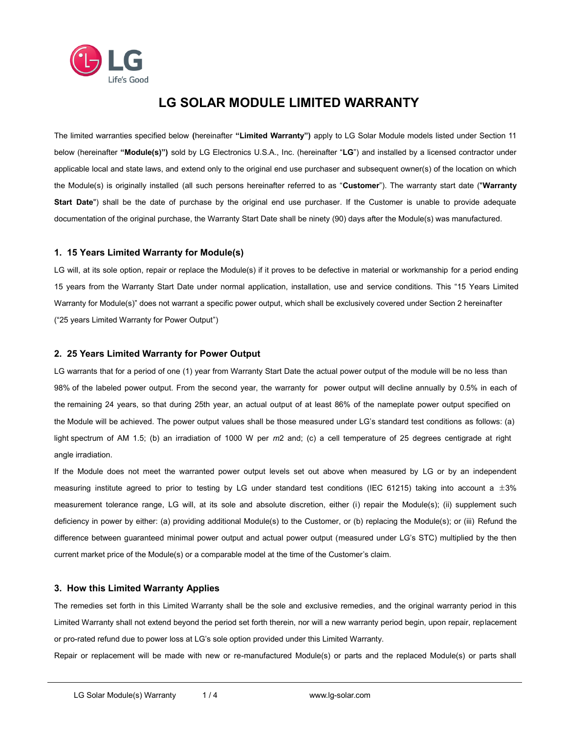

# **LG SOLAR MODULE LIMITED WARRANTY**

The limited warranties specified below **(**hereinafter **"Limited Warranty")** apply to LG Solar Module models listed under Section 11 below (hereinafter **"Module(s)")** sold by LG Electronics U.S.A., Inc. (hereinafter "**LG**") and installed by a licensed contractor under applicable local and state laws, and extend only to the original end use purchaser and subsequent owner(s) of the location on which the Module(s) is originally installed (all such persons hereinafter referred to as "**Customer**"). The warranty start date ("**Warranty Start Date**") shall be the date of purchase by the original end use purchaser. If the Customer is unable to provide adequate documentation of the original purchase, the Warranty Start Date shall be ninety (90) days after the Module(s) was manufactured.

# **1. 15 Years Limited Warranty for Module(s)**

LG will, at its sole option, repair or replace the Module(s) if it proves to be defective in material or workmanship for a period ending 15 years from the Warranty Start Date under normal application, installation, use and service conditions. This "15 Years Limited Warranty for Module(s)" does not warrant a specific power output, which shall be exclusively covered under Section 2 hereinafter ("25 years Limited Warranty for Power Output")

## **2. 25 Years Limited Warranty for Power Output**

LG warrants that for a period of one (1) year from Warranty Start Date the actual power output of the module will be no less than 98% of the labeled power output. From the second year, the warranty for power output will decline annually by 0.5% in each of the remaining 24 years, so that during 25th year, an actual output of at least 86% of the nameplate power output specified on the Module will be achieved. The power output values shall be those measured under LG's standard test conditions as follows: (a) light spectrum of AM 1.5; (b) an irradiation of 1000 W per *m*2 and; (c) a cell temperature of 25 degrees centigrade at right angle irradiation.

If the Module does not meet the warranted power output levels set out above when measured by LG or by an independent measuring institute agreed to prior to testing by LG under standard test conditions (IEC 61215) taking into account a  $\pm 3\%$ measurement tolerance range, LG will, at its sole and absolute discretion, either (i) repair the Module(s); (ii) supplement such deficiency in power by either: (a) providing additional Module(s) to the Customer, or (b) replacing the Module(s); or (iii) Refund the difference between guaranteed minimal power output and actual power output (measured under LG's STC) multiplied by the then current market price of the Module(s) or a comparable model at the time of the Customer's claim.

# **3. How this Limited Warranty Applies**

The remedies set forth in this Limited Warranty shall be the sole and exclusive remedies, and the original warranty period in this Limited Warranty shall not extend beyond the period set forth therein, nor will a new warranty period begin, upon repair, replacement or pro-rated refund due to power loss at LG's sole option provided under this Limited Warranty.

Repair or replacement will be made with new or re-manufactured Module(s) or parts and the replaced Module(s) or parts shall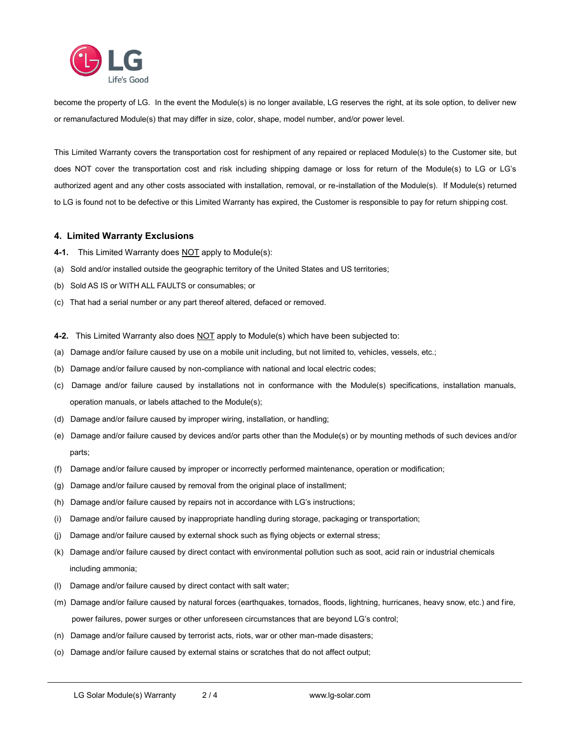

become the property of LG. In the event the Module(s) is no longer available, LG reserves the right, at its sole option, to deliver new or remanufactured Module(s) that may differ in size, color, shape, model number, and/or power level.

This Limited Warranty covers the transportation cost for reshipment of any repaired or replaced Module(s) to the Customer site, but does NOT cover the transportation cost and risk including shipping damage or loss for return of the Module(s) to LG or LG's authorized agent and any other costs associated with installation, removal, or re-installation of the Module(s). If Module(s) returned to LG is found not to be defective or this Limited Warranty has expired, the Customer is responsible to pay for return shipping cost.

## **4. Limited Warranty Exclusions**

- **4-1.** This Limited Warranty does **NOT** apply to Module(s):
- (a) Sold and/or installed outside the geographic territory of the United States and US territories;
- (b) Sold AS IS or WITH ALL FAULTS or consumables; or
- (c) That had a serial number or any part thereof altered, defaced or removed.

**4-2.** This Limited Warranty also does NOT apply to Module(s) which have been subjected to:

- (a) Damage and/or failure caused by use on a mobile unit including, but not limited to, vehicles, vessels, etc.;
- (b) Damage and/or failure caused by non-compliance with national and local electric codes;
- (c) Damage and/or failure caused by installations not in conformance with the Module(s) specifications, installation manuals, operation manuals, or labels attached to the Module(s);
- (d) Damage and/or failure caused by improper wiring, installation, or handling;
- (e) Damage and/or failure caused by devices and/or parts other than the Module(s) or by mounting methods of such devices and/or parts;
- (f) Damage and/or failure caused by improper or incorrectly performed maintenance, operation or modification;
- (g) Damage and/or failure caused by removal from the original place of installment;
- (h) Damage and/or failure caused by repairs not in accordance with LG's instructions;
- (i) Damage and/or failure caused by inappropriate handling during storage, packaging or transportation;
- (j) Damage and/or failure caused by external shock such as flying objects or external stress;
- (k) Damage and/or failure caused by direct contact with environmental pollution such as soot, acid rain or industrial chemicals including ammonia;
- (l) Damage and/or failure caused by direct contact with salt water;
- (m) Damage and/or failure caused by natural forces (earthquakes, tornados, floods, lightning, hurricanes, heavy snow, etc.) and fire, power failures, power surges or other unforeseen circumstances that are beyond LG's control;
- (n) Damage and/or failure caused by terrorist acts, riots, war or other man-made disasters;
- (o) Damage and/or failure caused by external stains or scratches that do not affect output;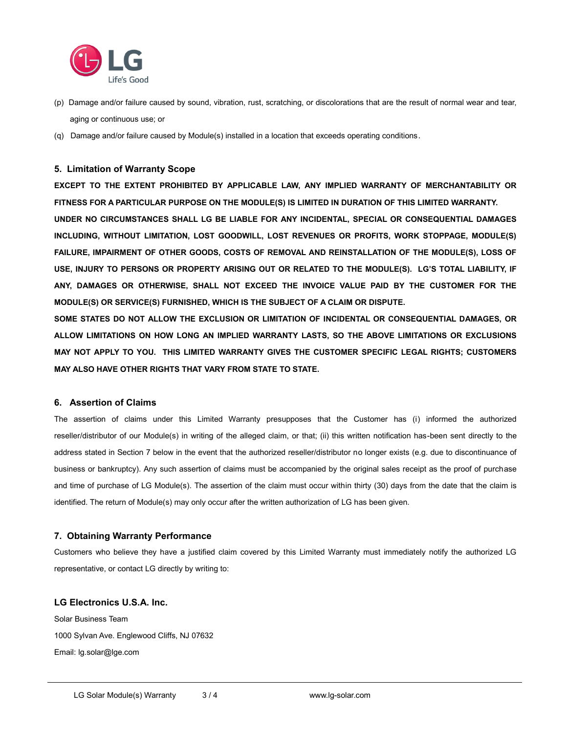

- (p) Damage and/or failure caused by sound, vibration, rust, scratching, or discolorations that are the result of normal wear and tear, aging or continuous use; or
- (q) Damage and/or failure caused by Module(s) installed in a location that exceeds operating conditions.

#### **5. Limitation of Warranty Scope**

**EXCEPT TO THE EXTENT PROHIBITED BY APPLICABLE LAW, ANY IMPLIED WARRANTY OF MERCHANTABILITY OR FITNESS FOR A PARTICULAR PURPOSE ON THE MODULE(S) IS LIMITED IN DURATION OF THIS LIMITED WARRANTY. UNDER NO CIRCUMSTANCES SHALL LG BE LIABLE FOR ANY INCIDENTAL, SPECIAL OR CONSEQUENTIAL DAMAGES INCLUDING, WITHOUT LIMITATION, LOST GOODWILL, LOST REVENUES OR PROFITS, WORK STOPPAGE, MODULE(S) FAILURE, IMPAIRMENT OF OTHER GOODS, COSTS OF REMOVAL AND REINSTALLATION OF THE MODULE(S), LOSS OF USE, INJURY TO PERSONS OR PROPERTY ARISING OUT OR RELATED TO THE MODULE(S). LG'S TOTAL LIABILITY, IF ANY, DAMAGES OR OTHERWISE, SHALL NOT EXCEED THE INVOICE VALUE PAID BY THE CUSTOMER FOR THE MODULE(S) OR SERVICE(S) FURNISHED, WHICH IS THE SUBJECT OF A CLAIM OR DISPUTE.** 

**SOME STATES DO NOT ALLOW THE EXCLUSION OR LIMITATION OF INCIDENTAL OR CONSEQUENTIAL DAMAGES, OR ALLOW LIMITATIONS ON HOW LONG AN IMPLIED WARRANTY LASTS, SO THE ABOVE LIMITATIONS OR EXCLUSIONS MAY NOT APPLY TO YOU. THIS LIMITED WARRANTY GIVES THE CUSTOMER SPECIFIC LEGAL RIGHTS; CUSTOMERS MAY ALSO HAVE OTHER RIGHTS THAT VARY FROM STATE TO STATE.** 

# **6. Assertion of Claims**

The assertion of claims under this Limited Warranty presupposes that the Customer has (i) informed the authorized reseller/distributor of our Module(s) in writing of the alleged claim, or that; (ii) this written notification has-been sent directly to the address stated in Section 7 below in the event that the authorized reseller/distributor no longer exists (e.g. due to discontinuance of business or bankruptcy). Any such assertion of claims must be accompanied by the original sales receipt as the proof of purchase and time of purchase of LG Module(s). The assertion of the claim must occur within thirty (30) days from the date that the claim is identified. The return of Module(s) may only occur after the written authorization of LG has been given.

#### **7. Obtaining Warranty Performance**

Customers who believe they have a justified claim covered by this Limited Warranty must immediately notify the authorized LG representative, or contact LG directly by writing to:

# **LG Electronics U.S.A. Inc.**

Solar Business Team 1000 Sylvan Ave. Englewood Cliffs, NJ 07632 Email: lg.solar@lge.com